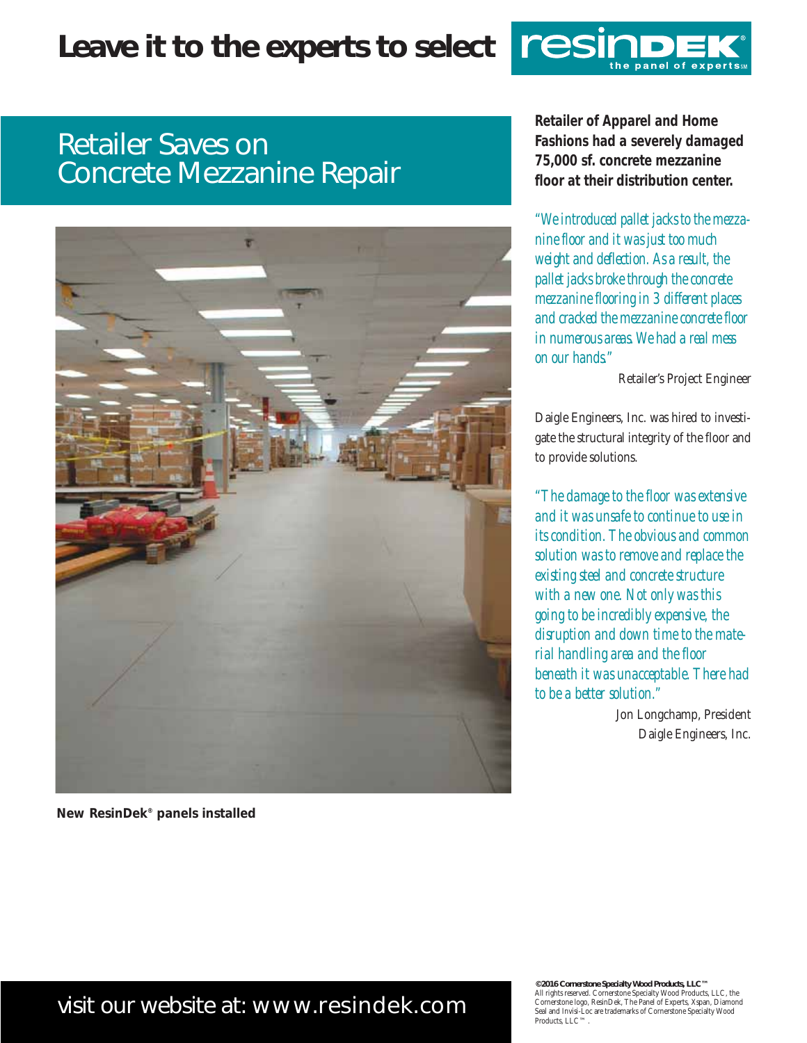# **Leave it to the experts to select**



## Retailer Saves on Concrete Mezzanine Repair



*New ResinDek® panels installed* 

**Retailer of Apparel and Home Fashions had a severely damaged 75,000 sf. concrete mezzanine floor at their distribution center.**

*"We introduced pallet jacks to the mezzanine floor and it was just too much weight and deflection. As a result, the pallet jacks broke through the concrete mezzanine flooring in 3 different places and cracked the mezzanine concrete floor in numerous areas. We had a real mess on our hands."* 

Retailer's Project Engineer

Daigle Engineers, Inc. was hired to investigate the structural integrity of the floor and to provide solutions.

*"The damage to the floor was extensive and it was unsafe to continue to use in its condition. The obvious and common solution was to remove and replace the existing steel and concrete structure with a new one. Not only was this going to be incredibly expensive, the disruption and down time to the material handling area and the floor beneath it was unacceptable. There had to be a better solution."*

> Jon Longchamp, President Daigle Engineers, Inc.

## visit our website at: www.resindek.com

**©2016 Cornerstone Specialty Wood Products, LLC™** All rights reserved. Cornerstone Specialty Wood Products, LLC, the Cornerstone logo, ResinDek, The Panel of Experts, Xspan, Diamond Seal and Invisi-Loc are trademarks of Cornerstone Specialty Wood Products, LLC™.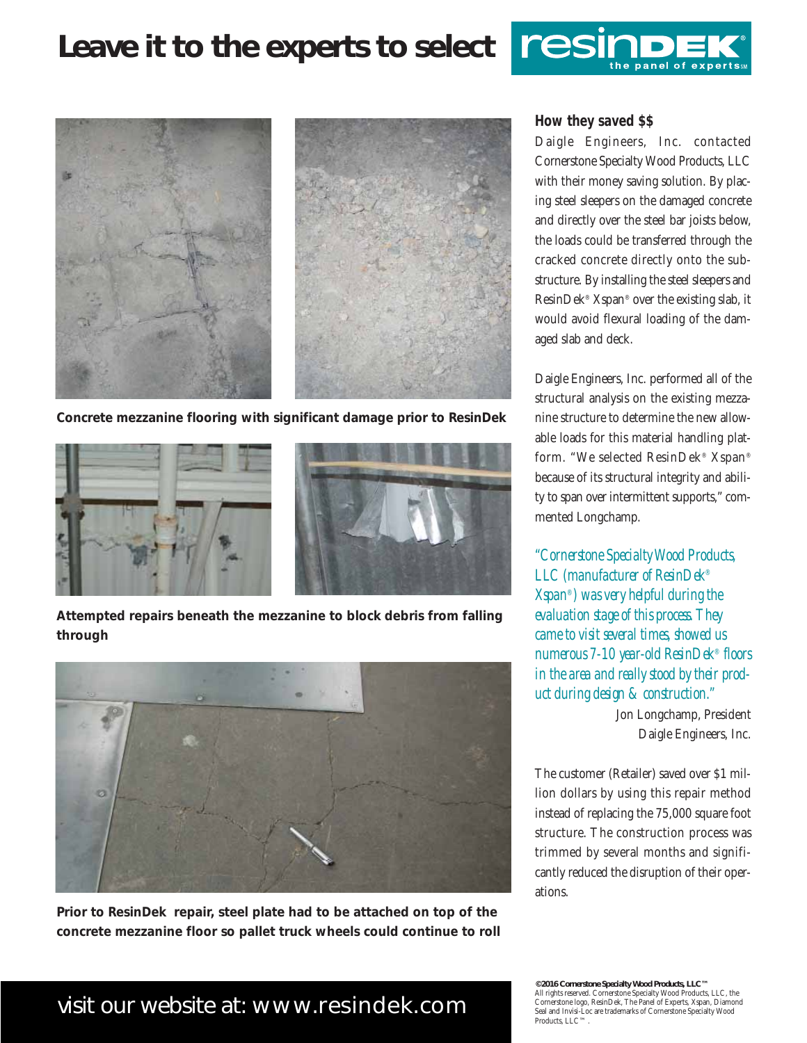## **Leave it to the experts to select**



*Concrete mezzanine flooring with significant damage prior to ResinDek*



*Attempted repairs beneath the mezzanine to block debris from falling through*



*Prior to ResinDek repair, steel plate had to be attached on top of the concrete mezzanine floor so pallet truck wheels could continue to roll*

#### **How they saved \$\$**

resir

Daigle Engineers, Inc. contacted Cornerstone Specialty Wood Products, LLC with their money saving solution. By placing steel sleepers on the damaged concrete and directly over the steel bar joists below, the loads could be transferred through the cracked concrete directly onto the substructure. By installing the steel sleepers and ResinDek® Xspan® over the existing slab, it would avoid flexural loading of the damaged slab and deck.

Daigle Engineers, Inc. performed all of the structural analysis on the existing mezzanine structure to determine the new allowable loads for this material handling platform. "We selected ResinDek® Xspan® because of its structural integrity and ability to span over intermittent supports," commented Longchamp.

*"Cornerstone Specialty Wood Products, LLC (manufacturer of ResinDek® Xspan®) was very helpful during the evaluation stage of this process. They came to visit several times, showed us numerous 7-10 year-old ResinDek® floors in the area and really stood by their product during design & construction."*

> Jon Longchamp, President Daigle Engineers, Inc.

The customer (Retailer) saved over \$1 million dollars by using this repair method instead of replacing the 75,000 square foot structure. The construction process was trimmed by several months and significantly reduced the disruption of their operations.

### visit our website at: www.resindek.com

**©2016 Cornerstone Specialty Wood Products, LLC™** All rights reserved. Cornerstone Specialty Wood Products, LLC, the Cornerstone logo, ResinDek, The Panel of Experts, Xspan, Diamond Seal and Invisi-Loc are trademarks of Cornerstone Specialty Wood Products, LLC™.